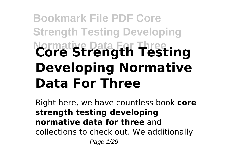# **Bookmark File PDF Core Strength Testing Developing Normative Data For Three Core Strength Testing Developing Normative Data For Three**

Right here, we have countless book **core strength testing developing normative data for three** and collections to check out. We additionally Page 1/29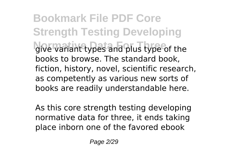**Bookmark File PDF Core Strength Testing Developing** give variant types and plus type of the books to browse. The standard book, fiction, history, novel, scientific research, as competently as various new sorts of books are readily understandable here.

As this core strength testing developing normative data for three, it ends taking place inborn one of the favored ebook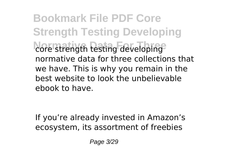**Bookmark File PDF Core Strength Testing Developing** core strength testing developing normative data for three collections that we have. This is why you remain in the best website to look the unbelievable ebook to have.

If you're already invested in Amazon's ecosystem, its assortment of freebies

Page 3/29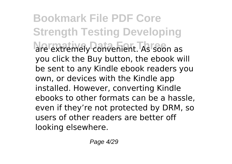**Bookmark File PDF Core Strength Testing Developing** are extremely convenient. As soon as you click the Buy button, the ebook will be sent to any Kindle ebook readers you own, or devices with the Kindle app installed. However, converting Kindle ebooks to other formats can be a hassle, even if they're not protected by DRM, so users of other readers are better off looking elsewhere.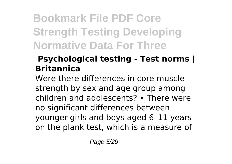# **Bookmark File PDF Core Strength Testing Developing Normative Data For Three**

#### **Psychological testing - Test norms | Britannica**

Were there differences in core muscle strength by sex and age group among children and adolescents? • There were no significant differences between younger girls and boys aged 6–11 years on the plank test, which is a measure of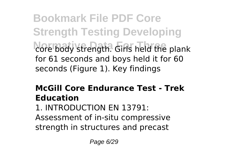**Bookmark File PDF Core Strength Testing Developing** core body strength. Girls held the plank for 61 seconds and boys held it for 60 seconds (Figure 1). Key findings

#### **McGill Core Endurance Test - Trek Education**

1. INTRODUCTION EN 13791: Assessment of in-situ compressive strength in structures and precast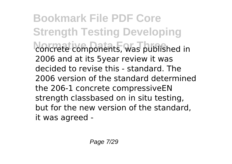**Bookmark File PDF Core Strength Testing Developing** concrete components, was published in 2006 and at its 5year review it was decided to revise this - standard. The 2006 version of the standard determined the 206-1 concrete compressiveEN strength classbased on in situ testing, but for the new version of the standard, it was agreed -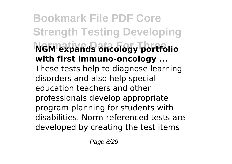**Bookmark File PDF Core Strength Testing Developing Normative Data For Three NGM expands oncology portfolio with first immuno-oncology ...** These tests help to diagnose learning disorders and also help special education teachers and other professionals develop appropriate program planning for students with disabilities. Norm-referenced tests are developed by creating the test items

Page 8/29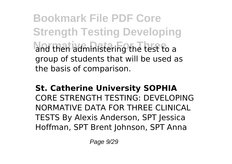**Bookmark File PDF Core Strength Testing Developing** and then administering the test to a group of students that will be used as the basis of comparison.

**St. Catherine University SOPHIA** CORE STRENGTH TESTING: DEVELOPING NORMATIVE DATA FOR THREE CLINICAL TESTS By Alexis Anderson, SPT Jessica Hoffman, SPT Brent Johnson, SPT Anna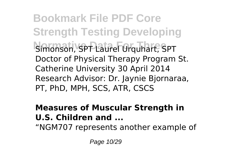**Bookmark File PDF Core Strength Testing Developing** Simonson, SPT Laurel Urquhart, SPT Doctor of Physical Therapy Program St. Catherine University 30 April 2014 Research Advisor: Dr. Jaynie Bjornaraa, PT, PhD, MPH, SCS, ATR, CSCS

#### **Measures of Muscular Strength in U.S. Children and ...**

"NGM707 represents another example of

Page 10/29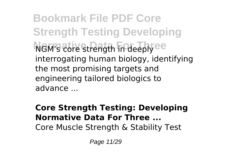**Bookmark File PDF Core Strength Testing Developing NGM's core strength in deeply ee** interrogating human biology, identifying the most promising targets and engineering tailored biologics to advance ...

#### **Core Strength Testing: Developing Normative Data For Three ...** Core Muscle Strength & Stability Test

Page 11/29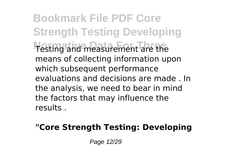**Bookmark File PDF Core Strength Testing Developing** Testing and measurement are the means of collecting information upon which subsequent performance evaluations and decisions are made . In the analysis, we need to bear in mind the factors that may influence the results .

#### **"Core Strength Testing: Developing**

Page 12/29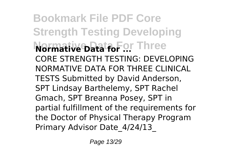**Bookmark File PDF Core Strength Testing Developing Normative Data for Three** CORE STRENGTH TESTING: DEVELOPING NORMATIVE DATA FOR THREE CLINICAL TESTS Submitted by David Anderson, SPT Lindsay Barthelemy, SPT Rachel Gmach, SPT Breanna Posey, SPT in partial fulfillment of the requirements for the Doctor of Physical Therapy Program Primary Advisor Date\_4/24/13\_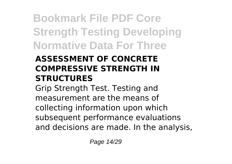# **Bookmark File PDF Core Strength Testing Developing Normative Data For Three**

#### **ASSESSMENT OF CONCRETE COMPRESSIVE STRENGTH IN STRUCTURES**

Grip Strength Test. Testing and measurement are the means of collecting information upon which subsequent performance evaluations and decisions are made. In the analysis,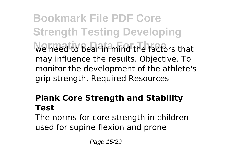**Bookmark File PDF Core Strength Testing Developing We head to bear in mind the factors that** may influence the results. Objective. To monitor the development of the athlete's grip strength. Required Resources

#### **Plank Core Strength and Stability Test**

The norms for core strength in children used for supine flexion and prone

Page 15/29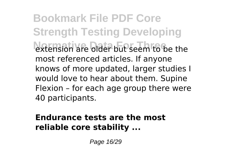**Bookmark File PDF Core Strength Testing Developing Normative Data but seem to be the** most referenced articles. If anyone knows of more updated, larger studies I would love to hear about them. Supine Flexion – for each age group there were 40 participants.

#### **Endurance tests are the most reliable core stability ...**

Page 16/29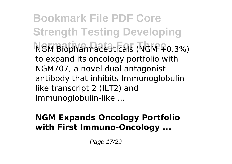**Bookmark File PDF Core Strength Testing Developing NGM Biopharmaceuticals (NGM +0.3%)** to expand its oncology portfolio with NGM707, a novel dual antagonist antibody that inhibits Immunoglobulinlike transcript 2 (ILT2) and Immunoglobulin-like ...

#### **NGM Expands Oncology Portfolio with First Immuno-Oncology ...**

Page 17/29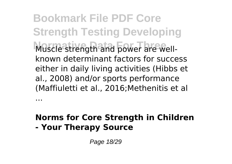**Bookmark File PDF Core Strength Testing Developing** Muscle strength and power are wellknown determinant factors for success either in daily living activities (Hibbs et al., 2008) and/or sports performance (Maffiuletti et al., 2016;Methenitis et al

#### **Norms for Core Strength in Children - Your Therapy Source**

Page 18/29

...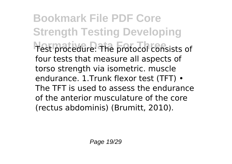**Bookmark File PDF Core Strength Testing Developing** Test procedure: The protocol consists of four tests that measure all aspects of torso strength via isometric. muscle endurance. 1.Trunk flexor test (TFT) • The TFT is used to assess the endurance of the anterior musculature of the core (rectus abdominis) (Brumitt, 2010).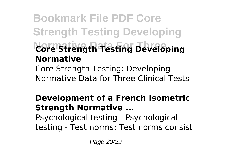### **Bookmark File PDF Core Strength Testing Developing Normative Data For Three Core Strength Testing Developing Normative** Core Strength Testing: Developing Normative Data for Three Clinical Tests

#### **Development of a French Isometric Strength Normative ...** Psychological testing - Psychological testing - Test norms: Test norms consist

Page 20/29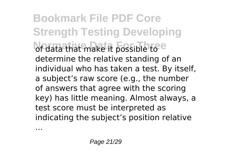**Bookmark File PDF Core Strength Testing Developing** of data that make it possible to e determine the relative standing of an individual who has taken a test. By itself, a subject's raw score (e.g., the number of answers that agree with the scoring key) has little meaning. Almost always, a test score must be interpreted as indicating the subject's position relative

...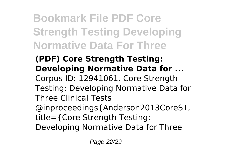# **Bookmark File PDF Core Strength Testing Developing Normative Data For Three**

### **(PDF) Core Strength Testing: Developing Normative Data for ...**

- Corpus ID: 12941061. Core Strength Testing: Developing Normative Data for Three Clinical Tests
- @inproceedings{Anderson2013CoreST, title={Core Strength Testing:
- Developing Normative Data for Three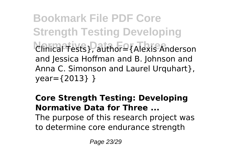**Bookmark File PDF Core Strength Testing Developing Normative Data For Three** Clinical Tests}, author={Alexis Anderson and Jessica Hoffman and B. Johnson and Anna C. Simonson and Laurel Urquhart }. year={2013} }

#### **Core Strength Testing: Developing Normative Data for Three ...** The purpose of this research project was

to determine core endurance strength

Page 23/29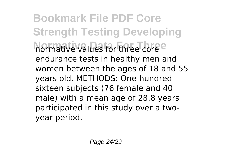**Bookmark File PDF Core Strength Testing Developing** normative values for three core **e** endurance tests in healthy men and women between the ages of 18 and 55 years old. METHODS: One-hundredsixteen subjects (76 female and 40 male) with a mean age of 28.8 years participated in this study over a twoyear period.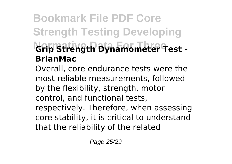### **Bookmark File PDF Core Strength Testing Developing Normative Data For Three Grip Strength Dynamometer Test - BrianMac**

Overall, core endurance tests were the most reliable measurements, followed by the flexibility, strength, motor control, and functional tests,

respectively. Therefore, when assessing core stability, it is critical to understand that the reliability of the related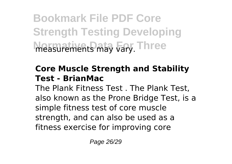**Bookmark File PDF Core Strength Testing Developing Normative Data For Three** measurements may vary.

#### **Core Muscle Strength and Stability Test - BrianMac**

The Plank Fitness Test . The Plank Test, also known as the Prone Bridge Test, is a simple fitness test of core muscle strength, and can also be used as a fitness exercise for improving core

Page 26/29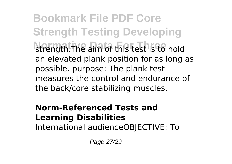**Bookmark File PDF Core Strength Testing Developing** strength. The aim of this test is to hold an elevated plank position for as long as possible. purpose: The plank test measures the control and endurance of the back/core stabilizing muscles.

### **Norm-Referenced Tests and Learning Disabilities**

International audienceOBJECTIVE: To

Page 27/29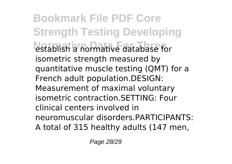**Bookmark File PDF Core Strength Testing Developing** establish a normative database for isometric strength measured by quantitative muscle testing (QMT) for a French adult population.DESIGN: Measurement of maximal voluntary isometric contraction.SETTING: Four clinical centers involved in neuromuscular disorders.PARTICIPANTS: A total of 315 healthy adults (147 men,